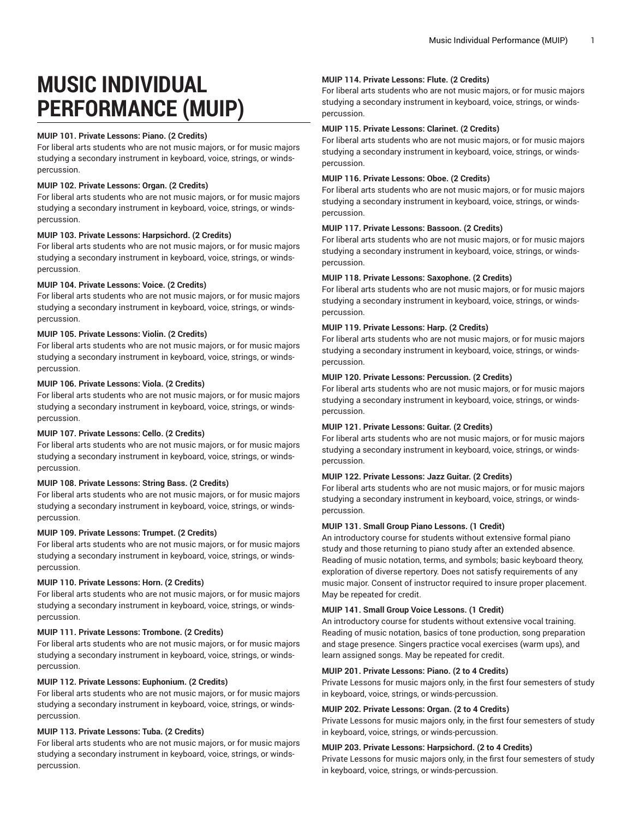# **MUSIC INDIVIDUAL PERFORMANCE (MUIP)**

#### **MUIP 101. Private Lessons: Piano. (2 Credits)**

For liberal arts students who are not music majors, or for music majors studying a secondary instrument in keyboard, voice, strings, or windspercussion.

### **MUIP 102. Private Lessons: Organ. (2 Credits)**

For liberal arts students who are not music majors, or for music majors studying a secondary instrument in keyboard, voice, strings, or windspercussion.

#### **MUIP 103. Private Lessons: Harpsichord. (2 Credits)**

For liberal arts students who are not music majors, or for music majors studying a secondary instrument in keyboard, voice, strings, or windspercussion.

#### **MUIP 104. Private Lessons: Voice. (2 Credits)**

For liberal arts students who are not music majors, or for music majors studying a secondary instrument in keyboard, voice, strings, or windspercussion.

#### **MUIP 105. Private Lessons: Violin. (2 Credits)**

For liberal arts students who are not music majors, or for music majors studying a secondary instrument in keyboard, voice, strings, or windspercussion.

#### **MUIP 106. Private Lessons: Viola. (2 Credits)**

For liberal arts students who are not music majors, or for music majors studying a secondary instrument in keyboard, voice, strings, or windspercussion.

#### **MUIP 107. Private Lessons: Cello. (2 Credits)**

For liberal arts students who are not music majors, or for music majors studying a secondary instrument in keyboard, voice, strings, or windspercussion.

## **MUIP 108. Private Lessons: String Bass. (2 Credits)**

For liberal arts students who are not music majors, or for music majors studying a secondary instrument in keyboard, voice, strings, or windspercussion.

#### **MUIP 109. Private Lessons: Trumpet. (2 Credits)**

For liberal arts students who are not music majors, or for music majors studying a secondary instrument in keyboard, voice, strings, or windspercussion.

#### **MUIP 110. Private Lessons: Horn. (2 Credits)**

For liberal arts students who are not music majors, or for music majors studying a secondary instrument in keyboard, voice, strings, or windspercussion.

## **MUIP 111. Private Lessons: Trombone. (2 Credits)**

For liberal arts students who are not music majors, or for music majors studying a secondary instrument in keyboard, voice, strings, or windspercussion.

#### **MUIP 112. Private Lessons: Euphonium. (2 Credits)**

For liberal arts students who are not music majors, or for music majors studying a secondary instrument in keyboard, voice, strings, or windspercussion.

## **MUIP 113. Private Lessons: Tuba. (2 Credits)**

For liberal arts students who are not music majors, or for music majors studying a secondary instrument in keyboard, voice, strings, or windspercussion.

#### **MUIP 114. Private Lessons: Flute. (2 Credits)**

For liberal arts students who are not music majors, or for music majors studying a secondary instrument in keyboard, voice, strings, or windspercussion.

#### **MUIP 115. Private Lessons: Clarinet. (2 Credits)**

For liberal arts students who are not music majors, or for music majors studying a secondary instrument in keyboard, voice, strings, or windspercussion.

#### **MUIP 116. Private Lessons: Oboe. (2 Credits)**

For liberal arts students who are not music majors, or for music majors studying a secondary instrument in keyboard, voice, strings, or windspercussion.

## **MUIP 117. Private Lessons: Bassoon. (2 Credits)**

For liberal arts students who are not music majors, or for music majors studying a secondary instrument in keyboard, voice, strings, or windspercussion.

#### **MUIP 118. Private Lessons: Saxophone. (2 Credits)**

For liberal arts students who are not music majors, or for music majors studying a secondary instrument in keyboard, voice, strings, or windspercussion.

#### **MUIP 119. Private Lessons: Harp. (2 Credits)**

For liberal arts students who are not music majors, or for music majors studying a secondary instrument in keyboard, voice, strings, or windspercussion.

#### **MUIP 120. Private Lessons: Percussion. (2 Credits)**

For liberal arts students who are not music majors, or for music majors studying a secondary instrument in keyboard, voice, strings, or windspercussion.

## **MUIP 121. Private Lessons: Guitar. (2 Credits)**

For liberal arts students who are not music majors, or for music majors studying a secondary instrument in keyboard, voice, strings, or windspercussion.

#### **MUIP 122. Private Lessons: Jazz Guitar. (2 Credits)**

For liberal arts students who are not music majors, or for music majors studying a secondary instrument in keyboard, voice, strings, or windspercussion.

#### **MUIP 131. Small Group Piano Lessons. (1 Credit)**

An introductory course for students without extensive formal piano study and those returning to piano study after an extended absence. Reading of music notation, terms, and symbols; basic keyboard theory, exploration of diverse repertory. Does not satisfy requirements of any music major. Consent of instructor required to insure proper placement. May be repeated for credit.

## **MUIP 141. Small Group Voice Lessons. (1 Credit)**

An introductory course for students without extensive vocal training. Reading of music notation, basics of tone production, song preparation and stage presence. Singers practice vocal exercises (warm ups), and learn assigned songs. May be repeated for credit.

#### **MUIP 201. Private Lessons: Piano. (2 to 4 Credits)**

Private Lessons for music majors only, in the first four semesters of study in keyboard, voice, strings, or winds-percussion.

#### **MUIP 202. Private Lessons: Organ. (2 to 4 Credits)**

Private Lessons for music majors only, in the first four semesters of study in keyboard, voice, strings, or winds-percussion.

#### **MUIP 203. Private Lessons: Harpsichord. (2 to 4 Credits)**

Private Lessons for music majors only, in the first four semesters of study in keyboard, voice, strings, or winds-percussion.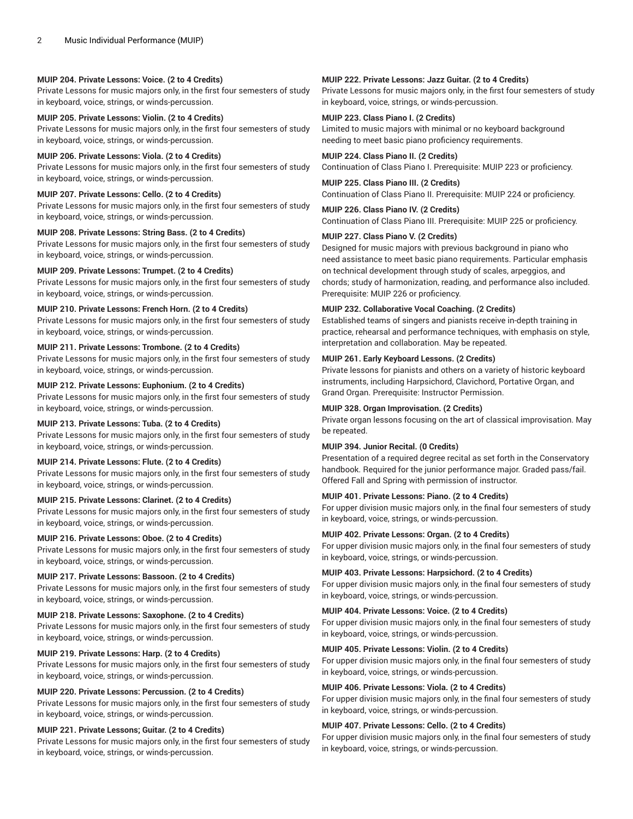#### **MUIP 204. Private Lessons: Voice. (2 to 4 Credits)**

Private Lessons for music majors only, in the first four semesters of study in keyboard, voice, strings, or winds-percussion.

**MUIP 205. Private Lessons: Violin. (2 to 4 Credits)** Private Lessons for music majors only, in the first four semesters of study in keyboard, voice, strings, or winds-percussion.

#### **MUIP 206. Private Lessons: Viola. (2 to 4 Credits)**

Private Lessons for music majors only, in the first four semesters of study in keyboard, voice, strings, or winds-percussion.

#### **MUIP 207. Private Lessons: Cello. (2 to 4 Credits)**

Private Lessons for music majors only, in the first four semesters of study in keyboard, voice, strings, or winds-percussion.

#### **MUIP 208. Private Lessons: String Bass. (2 to 4 Credits)**

Private Lessons for music majors only, in the first four semesters of study in keyboard, voice, strings, or winds-percussion.

## **MUIP 209. Private Lessons: Trumpet. (2 to 4 Credits)**

Private Lessons for music majors only, in the first four semesters of study in keyboard, voice, strings, or winds-percussion.

#### **MUIP 210. Private Lessons: French Horn. (2 to 4 Credits)**

Private Lessons for music majors only, in the first four semesters of study in keyboard, voice, strings, or winds-percussion.

## **MUIP 211. Private Lessons: Trombone. (2 to 4 Credits)**

Private Lessons for music majors only, in the first four semesters of study in keyboard, voice, strings, or winds-percussion.

#### **MUIP 212. Private Lessons: Euphonium. (2 to 4 Credits)**

Private Lessons for music majors only, in the first four semesters of study in keyboard, voice, strings, or winds-percussion.

#### **MUIP 213. Private Lessons: Tuba. (2 to 4 Credits)**

Private Lessons for music majors only, in the first four semesters of study in keyboard, voice, strings, or winds-percussion.

#### **MUIP 214. Private Lessons: Flute. (2 to 4 Credits)**

Private Lessons for music majors only, in the first four semesters of study in keyboard, voice, strings, or winds-percussion.

## **MUIP 215. Private Lessons: Clarinet. (2 to 4 Credits)**

Private Lessons for music majors only, in the first four semesters of study in keyboard, voice, strings, or winds-percussion.

## **MUIP 216. Private Lessons: Oboe. (2 to 4 Credits)**

Private Lessons for music majors only, in the first four semesters of study in keyboard, voice, strings, or winds-percussion.

#### **MUIP 217. Private Lessons: Bassoon. (2 to 4 Credits)**

Private Lessons for music majors only, in the first four semesters of study in keyboard, voice, strings, or winds-percussion.

#### **MUIP 218. Private Lessons: Saxophone. (2 to 4 Credits)**

Private Lessons for music majors only, in the first four semesters of study in keyboard, voice, strings, or winds-percussion.

## **MUIP 219. Private Lessons: Harp. (2 to 4 Credits)**

Private Lessons for music majors only, in the first four semesters of study in keyboard, voice, strings, or winds-percussion.

## **MUIP 220. Private Lessons: Percussion. (2 to 4 Credits)**

Private Lessons for music majors only, in the first four semesters of study in keyboard, voice, strings, or winds-percussion.

## **MUIP 221. Private Lessons; Guitar. (2 to 4 Credits)**

Private Lessons for music majors only, in the first four semesters of study in keyboard, voice, strings, or winds-percussion.

## **MUIP 222. Private Lessons: Jazz Guitar. (2 to 4 Credits)**

Private Lessons for music majors only, in the first four semesters of study in keyboard, voice, strings, or winds-percussion.

## **MUIP 223. Class Piano I. (2 Credits)**

Limited to music majors with minimal or no keyboard background needing to meet basic piano proficiency requirements.

**MUIP 224. Class Piano II. (2 Credits)** Continuation of Class Piano I. Prerequisite: MUIP 223 or proficiency.

**MUIP 225. Class Piano III. (2 Credits)** Continuation of Class Piano II. Prerequisite: MUIP 224 or proficiency.

**MUIP 226. Class Piano IV. (2 Credits)** Continuation of Class Piano III. Prerequisite: MUIP 225 or proficiency.

#### **MUIP 227. Class Piano V. (2 Credits)**

Designed for music majors with previous background in piano who need assistance to meet basic piano requirements. Particular emphasis on technical development through study of scales, arpeggios, and chords; study of harmonization, reading, and performance also included. Prerequisite: MUIP 226 or proficiency.

#### **MUIP 232. Collaborative Vocal Coaching. (2 Credits)**

Established teams of singers and pianists receive in-depth training in practice, rehearsal and performance techniques, with emphasis on style, interpretation and collaboration. May be repeated.

### **MUIP 261. Early Keyboard Lessons. (2 Credits)**

Private lessons for pianists and others on a variety of historic keyboard instruments, including Harpsichord, Clavichord, Portative Organ, and Grand Organ. Prerequisite: Instructor Permission.

#### **MUIP 328. Organ Improvisation. (2 Credits)**

Private organ lessons focusing on the art of classical improvisation. May be repeated.

## **MUIP 394. Junior Recital. (0 Credits)**

Presentation of a required degree recital as set forth in the Conservatory handbook. Required for the junior performance major. Graded pass/fail. Offered Fall and Spring with permission of instructor.

## **MUIP 401. Private Lessons: Piano. (2 to 4 Credits)**

For upper division music majors only, in the final four semesters of study in keyboard, voice, strings, or winds-percussion.

#### **MUIP 402. Private Lessons: Organ. (2 to 4 Credits)**

For upper division music majors only, in the final four semesters of study in keyboard, voice, strings, or winds-percussion.

#### **MUIP 403. Private Lessons: Harpsichord. (2 to 4 Credits)**

For upper division music majors only, in the final four semesters of study in keyboard, voice, strings, or winds-percussion.

## **MUIP 404. Private Lessons: Voice. (2 to 4 Credits)**

For upper division music majors only, in the final four semesters of study in keyboard, voice, strings, or winds-percussion.

#### **MUIP 405. Private Lessons: Violin. (2 to 4 Credits)**

For upper division music majors only, in the final four semesters of study in keyboard, voice, strings, or winds-percussion.

#### **MUIP 406. Private Lessons: Viola. (2 to 4 Credits)**

For upper division music majors only, in the final four semesters of study in keyboard, voice, strings, or winds-percussion.

#### **MUIP 407. Private Lessons: Cello. (2 to 4 Credits)**

For upper division music majors only, in the final four semesters of study in keyboard, voice, strings, or winds-percussion.